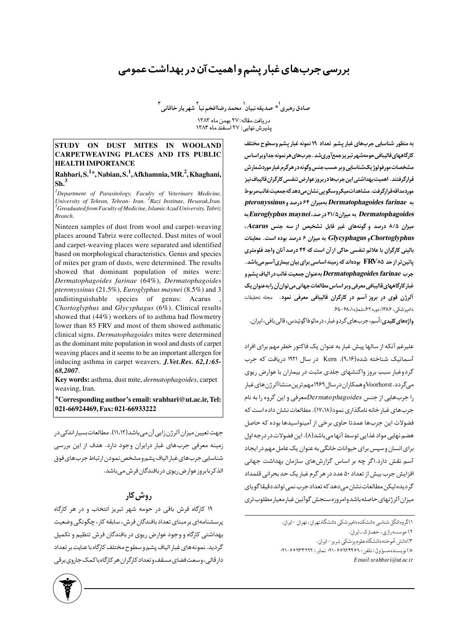# بررسی جربهای غبار پشم واهمیت آن در بهداشت عمومی

صادق رهبري<sup>\يو</sup> صديقه نبيان<sup>\</sup> محمد رضاافخم نيا<sup>٢</sup> شهريار خاقاني<sup>۳</sup> دريافت مقاله:٢٧ بهمن ماه ١٣٨٣ یدیوش نهایی: ۲۷ آسفند ماه ۱۳۸۴

#### **STUDY ON DUST MITES IN WOOLAND CARPETWEAVING PLACES AND ITS PUBLIC HEALTH IMPORTANCE**

### **Rahbari, S.<sup>1</sup>** \***, Nabian, S.<sup>1</sup> , Afkhamnia, MR.<sup>2</sup> , Khaghani, Sh.<sup>3</sup>**

*1 Department of Parasitology, Faculty of Veterinary Medicine, University of Tehran, Tehran- Iran. <sup>2</sup> Razi Institute, Hesarak,Iran. <sup>3</sup> Greaduated from Faculty of Medicine, Islamic Azad University, Tabriz Branch.*

Ninteen samples of dust from wool and carpet-weaving places around Tabriz were collected. Dust mites of wool and carpet-weaving places were separated and identified based on morphological characteristics. Genus and species of mites per gram of dusts, were determined. The results showed that dominant population of mites were: *Dermatophagoides farinae* (64%), *Dermatophagoides pteronyssinus* (21.5%), *Euroglyphus maynei* (8.5%) and 3 undistinguishable species of genus: Acarus *Chortoglyphus* and *Glycyphagus* (6%). Clinical results showed that (44%) workers of to asthma had flowmetry lower than 85 FRV and most of them showed asthmatic clinical signs. *Dermatophagoides* mites were determined as the dominant mite population in wool and dusts of carpet weaving places and it seems to be an important allergen for inducing asthma in carpet weavers. *J.Vet.Res. 62,1:65- 68,2007*.

**Key words:** asthma, dust mite, *dermatophagoides*, carpet weaving, Iran.

\***Corresponding author's email: srahbari@ut.ac.ir, Tel: 021-66924469, Fax: 021-66933222**

جهت تعیین میزان آلرژن زایی آن می باشد(۱۱،۱۲). مطالعات بسیار اندکی در زمینه معرفی جربهای غبار درایران وجود دارد. هدف از این بررسی شناسايي جربهاي غبار الياف پشم ومشخص نمودن ارتباط جربهاي فوق الذکر بابروز عوارض ریوی در بافندگان فرش مے باشد.

# روش کار

۱۹ کارگاه فرش بافی در حومه شهر تبریز انتخاب و در هر کارگاه پرسشنامهای بر مبنای تعداد بافندگان فرش، سابقه کار ، چگونگی وضعیت بهداشتی کارگاه و وجود عوارض ریوی در بافندگان فرش تنظیم و تکمیل گردید. نمونههای غبار الیاف پشم و سطوح مختلف کارگاه با عنایت بر تعداد دار قالبی، وسعت فضای مسقف و تعداد کارگران هر کارگاه با کمک جاروی برقبی به منظور شناسایی جربهای غبار پشم تعداد ١٩ نمونه غبار پشم وسطوح مختلف کارگاههایقالیبافی حومهشهرتبریزجمعآوریشد. جربهای *ه*رنمونه جداوبراساس مشخصات مورفولوژ یک شناسایی وبر حسب جنس وگونه در هرگرم غبار موردشمارش قرارگرفتند. اهمیت بهداشتی این جربهادر بروزعوارض تنفسی کارگران قالیباف نیز موردمداقەقرارگرفت. مشاهداتمیکروسکویے نشان می دهد که جمعیتغالبمربوط pteronyssinus و Permatophagoides farinae ده Euroglyphus maynei و هیزان ۲۱/۵ در صد، Euroglyphus maynei میزان ۸/۵ درصد و گونههای غیر قابل تشخیص از سه جنس Acarus، و Glycyphagus و Glycyphagus به ميزان ۶ درصد بوده است. معاينات بالینی کارگران با علائم تنفسی حاکی از آن است که ۴۴ درصد آنان واجد فلومتری پائین تر از حد FRV۸۵ بودهاند که زمینه اساسی برای بیان بیماریآسم میباشد. جرب Dermatophagoides farinae بهعنوان جمعيت غالب در الياف يشم و غبار کارگاههای قالیبافی معرفی وبر اساس مطالعات جهانی می توان آن را به عنوان یک آلرژن قوی در بروز آسم در کارگران قالیبافی معرفی نمود. مجله تحقیقات دامیزشکی، ۱۳۸۶، دوره ۶۲، شماره ۶۸، ۶۵–۶۵.

واژههای کلیدی:آسم، جربهای گردوغبار، درماتوفاگوئیدس، قالی بافی، ایران.

علیرغم آنکه از سالها پیش غبار به عنوان یک فاکتور خطر مهم برای افراد آسماتیک شناخته شده(۹،۱۶). Kern در سال ۱۹۲۱ دریافت که جرب گردوغبار سبب بروز واکنشهای جلدی مثبت در بیماران با عوارض ریوی مبی گردد. Voorhorst وهمکاران در سال ۱۹۶۹مهم ترین منشاآلر ژن های غبار را جربهايي از جنس Dermatophagoidesمعرفي و اين گروه را به نام جربهای غبار خانه نامگذاری نمود(۱۷،۱۸). مطالعات نشان داده است که فضولات این جربها عمدتا حاوی برخی از آمینواسیدها بوده که حاصل هضم نهایی مواد غذایی توسط آنها می باشد(۸). این فضولات در درجه اول برای انسان و سپس برای حیوانات خانگی به عنوان یک عامل مهم در ایجاد آسم نقش دارد.اگر چه بر اساس گزارشهای سازمان بهداشت جهانی افزایش جرب بیش از تعداد ۵۰ عدد در هر گرم غبار یک حد بحرانی قلمداد گر ديده ليكن مطالعات نشان مي دهد كه تعداد جرب نمي تواند دقيقا گوياي ميزان آلر ژنهاي حاصله باشدوامروزه سنجش گوآنين غبار معيار مطلوب تري

Email:srahbari@ut.ac.ir



<sup>1)</sup>گروہ انگل شناسی دانشکدہ دامیزشکی دانشگاہ تھران، تھران -ایران.

۲) موسسه رازي، حصارك-ايران.

۳)دانش آموخته دانشگاه علوم پزشکی تبریز <sup>-</sup> ایران.

<sup>\*)</sup> نويسنده مسؤول: تلفن: ۶۶۹۲۴۴۶۹-۲۱، نمابر: ۶۶۹۳۳۲۲۲۰+۰۲۰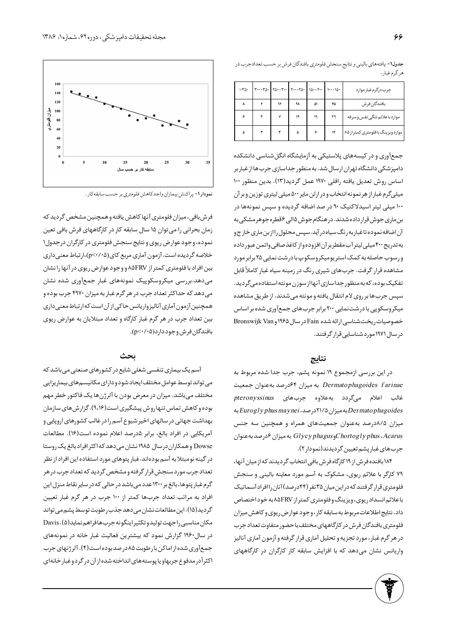| $> r_0$ . | $\begin{vmatrix} r \cdots r \Delta r & r \Delta r - r \cdots & r \cdots r \Delta r \end{vmatrix} \begin{vmatrix} \Delta r - r \cdots & r \cdots & r \Delta r \end{vmatrix}$ |    |    |    |    | جرب درگرم غبار موارد            |
|-----------|-----------------------------------------------------------------------------------------------------------------------------------------------------------------------------|----|----|----|----|---------------------------------|
| ٨         | ۶                                                                                                                                                                           | ۱۶ | ٢٨ | ۵۱ | ٧۵ | بافندگان فر ش                   |
| ۶         |                                                                                                                                                                             | ٧  | ۱۴ | ۱۹ | ٣٩ | مواردباعلائم تنگى نفس وسرفه     |
| ۵         |                                                                                                                                                                             |    | ۵  | ٧  | ۱۲ | مواردویزینگ بافلومتری کمتراز ۸۵ |

جدول١- يافتههاي باليني و نتايج سنجش فلومتري بافندگان فرش بر حسب تعدادجرب در هرگرم غبار.

جمعآوری و در کیسههای پلاستیکی به آزمایشگاه انگلشناسی دانشکده دامپزشکی دانشگاه تهران ارسال شد. به منظور جداسازی جرب ها از غبار بر اساس روش تعديل يافته رافلي ١٩٧٠ عمل گرديد(١٣). بدين منظور ١٠٠ میلیگرم غبار از هر نمونه انتخاب و در ارلن مایر ۵۰۰ میلی لیتری توزین و بر آن ۱۰۰ میلی لیتر اسیدلاکتیک ۹۰ در صد اضافه گردیده و سپس نمونهها در بن ماری جوش قرار داده شدند. در هنگام جوش ۱۵الی ۶قطره جوهر مشکی به آن اضافه نموده تاغبار به رنگ سیاه در آید.سپس محلول را از بن ماری خارج و به تدريج ۴۰۰ ميلي ليترآب مقطربرآن افزوده واز كاغذ صافى واتمن عبور داده ورسوب حاصله به کمک استر یومیکروسکوپ با درشت نمایی ۲۵ برابر مورد مشاهده قرار گرفت. جربهای شیری رنگ در زمینه سیاه غبار کاملاً قابل تفکیک بوده، که به منظور جداسازی آنها از سوزن مونته استفاده میگردید. سپس جربها بر روی لام انتقال یافته و مونته می شدند. از طریق مشاهده میکروسکوپی با درشتنمایی ۲۰۰ برابر جرب های جمعآوری شده بر اساس خصوصیات ریخت شناسی ارائه شده Fain در سال ۱۹۶۵ و Bronswijk Van در سال ۱۹۷۱ مورد شناسایی قرار گرفتند.

#### نتايج

در این بررسی ازمجموع ۱۹ نمونه پشم، جرب جدا شده مربوط به Dermatophagoides farinae به ميزان ۶۴درصد به عنوان جمعيت غالب اعلام میگردد بهعلاوه جربهای pteronyssinus permatophagoides !به میزان ۲۱/۵درصد، Eurogly phus mayneiبه میزان ۰۸۵درصد بهعنوان جمعیتهای همراه و همچنین سه جنس وGlycy phagus به میزان ۶درصد به عنوان Chortogly phus ، Acarus جرب هاي غبار پشم تعيين گرديدند(نمودار٢).

۱۸۴ بافنده فرش از ۱۹ کارگاه فرش بافی انتخاب گردیدند که از میان آنها، ۷۹ کارگر با علائم ریوی، مشکوک به آسم مورد معاینه بالینی و سنجش فلومتری قرار گرفتند که دراین میان ۳۵ نفر (۴۴درصد) آنان راافراد آسماتیک با علائم انسداد ریوی، ویزینگ و فلومتری کمتر از ۸۵FRV به خود اختصاص داد. نتايج اطلاعات مربوط به سابقه كار ، وجود عوارض ريوي و كاهش ميزان فلومتري بافندگان فرش در كارگاههاي مختلف با حضور متفاوت تعداد جرب در هر گرم غبار ، مورد تجزیه و تحلیل آماری قرار گرفته و آزمون آماری آنالیز واریانس نشان میدهد که با افزایش سابقه کار کارگران در کارگاههای



نمودار ۱- پراکنش بیماران واجدکاهش فلومتری بر حسب سابقهکار .

فرش بافی، میزان فلومتری آنها کاهش یافته و همچنین مشخص گردید که زمان بحرانی را می توان ۱۵ سال سابقه کار در کارگاههای فرش بافی تعین نموده، وجود عوارض ريوي ونتايج سنجش فلومتري در كارگران درجدول١ خلاصه گردیده است. آزمون آماری مربع کای(۹٬۰/۰۵)،ارتباط معنیداری بین افراد با فلومتری کمتر از ۸۵FRV و وجود عوارض ریوی در آنها را نشان میدهد.بررسی میکروسکوپیک نمونههای غبار جمعآوری شده نشان می دهد که حداکثر تعداد جرب در هر گرم غبار به میزان ۴۹۷۰ جرب بوده و همچنین آزمون آماری آنالیزواریانس حاکی از آن است که ارتباط معنی داری بین تعداد جرب در هر گرم غبار کارگاه و تعداد مبتلایان به عوارض ریوی بافندگان فرش وجود دارد(۰۵-/۰>).

#### بحث

آسم یک بیماری تنفسی شغلی شایع در کشورهای صنعتی میباشد که می تواند توسط عوامل مختلف ایجاد شود و دارای مکانیسم های بیماریزایی مختلف میباشد. میزان در معرض بودن با آلرژن ها یک فاکتور خطر مهم بوده و کاهش تماس تنها روش پیشگیری است(۹،۱۶). گزارش های سازمان بهداشت جهانی در سالهای اخیر شیوع آسم را در غالب کشورهای اروپایی و آمريكايي در افراد بالغ، برابر ۵درصد اعلام نموده است(۱۶). مطالعات Dowse وهمكاران درسال ۱۹۸۵ نشان مى دهد كه اكثر افراد بالغ يک روستا در گینه نومبتلا به آسم بودهاند.غبار پتوهای مورد استفاده این افراد از نظر تعداد جرب مورد سنجش قرار گرفته و مشخص گردید که تعداد جرب در هر گرم غبار پتوها، بالغ بر ۱۳۰۰ عدد می باشد در حالی که در سایر نقاط منزل این افراد به مراتب تعداد جربها کمتر از ۱۰۰ جرب در هر گرم غبار تعيين گردید(۱۵). این مطالعات نشان میدهد جذب رطوبت توسط پشم می تواند مکان مناسبی راجهت تولیدوتکثیراینگونهجربهافراهم نماید(۵). Davis در سال۱۹۶۰ گزارش نمود که بیشترین فعالیت غبار خانه در نمونههای جمعآوری شده از اماکن بارطوبت ۸۵ در صد بوده است(۴). آلرژنهای جرب اکثراً در مدفوع جربهاو یا پوستههای انداخته شده از آن در گر دو غبار خانهای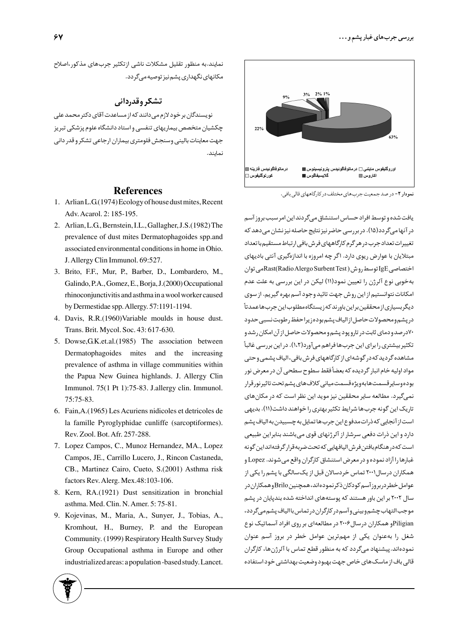نمایند.به منظور تقلیل مشکلات ناشی ازتکثیر جربهای مذکور،اصلاح مکانهای نگهداری پشم نیز توصیه میگردد.

## تشکر وقدردانی

نویسندگان بر خود لازم می دانند که از مساعدت آقای دکتر محمد علی چکشیان متخصص بیماریهای تنفسی و استاد دانشگاه علوم پزشکی تبریز جهت معاينات باليني وسنجش فلومتري بيماران ارجاعي تشكر و قدر داني نماىند.

- Arlian L.G.(1974) Ecology of house dust mites, Recent 1. Adv. Acarol. 2: 185-195.
- 2. Arlian, L.G., Bernstein, I.L., Gallagher, J.S. (1982) The prevalence of dust mites Dermatophagoides spp.and associated environmental conditions in home in Ohio. J. Allergy Clin Immunol. 69:527.
- Brito, F.F., Mur, P., Barber, D., Lombardero, M., 3. Galindo, P.A., Gomez, E., Borja, J.(2000) Occupational rhinoconjunctivitis and asthma in a wool worker caused by Dermestidae spp. Allergy. 57:1191-1194.
- 4. Davis, R.R.(1960)Variable moulds in house dust. Trans. Brit. Mycol. Soc. 43: 617-630.
- 5. Dowse, G.K.et.al. (1985) The association between Dermatophagoides mites and the increasing prevalence of asthma in village communities within the Papua New Guinea highlands. J. Allergy Clin Immunol. 75(1 Pt 1):75-83. J.allergy clin. Immunol. 75:75-83.
- Fain,A.(1965) Les Acuriens nidicoles et detricoles de 6. la famille Pyroglyphidae cunliffe (sarcoptiformes). Rev. Zool. Bot. Afr. 257-288.
- 7. Lopez Campos, C., Munoz Hernandez, MA., Lopez Campos, JE., Carrillo Lucero, J., Rincon Castaneda, CB., Martinez Cairo, Cueto, S.(2001) Asthma risk factors Rev. Alerg. Mex.48:103-106.
- 8. Kern, RA.(1921) Dust sensitization in bronchial asthma. Med. Clin. N. Amer. 5: 75-81.
- 9. Kojevinas, M., Maria, A., Sunyer, J., Tobias, A., Kromhout, H., Burney, P. and the European Community. (1999) Respiratory Health Survey Study Group Occupational asthma in Europe and other industrialized areas: a population -based study. Lancet.



یافت شده و توسط افراد حساس استنشاق میگردند این امر سبب بروز آسم در آنها میگردد(۱۵). در بررسی حاضر نیز نتایج حاصله نیز نشان میدهد که تغییرات تعداد جرب در هر گرم کارگاههای فرش بافی ارتباط مستقیم با تعداد مبتلایان با عوارض ریوی دارد. اگر چه امروزه با اندازهگیری آنتی بادیهای اختصاصی IgE توسط <sub>(</sub>وش ( Rast(Radio Alergo Surbent Test*) هي* توان بهخوبي نوع آلرژن را تعيين نمود(١١) ليكن در اين بررسي به علت عدم امکانات نتوانستیم از این روش جهت تائید وجود آسم بهره گیریم. از سوی دیگربسیاری ازمحققین براین باورند که زیستگاه مطلوب این جرب هاعمدتاً در پشم ومحصولات حاصل از الياف پشم بوده زيرا حفظ ر طوبت نسبي حدود ۷۰درصد و دمای ثابت در تارو پود پشم و محصولات حاصل از آن امکان رشد و تکثیر بیشتری را برای این جربها فراهم میآورد(۱،۲). در این بررسی غالباً مشاهده گردید که در گوشهای از کارگاههای فرش بافی،الیاف پشمبی و حتبی مواد اوليه خام انبار گرديده كه بعضاً فقط سطوح سطحي آن در معرض نور بوده وسایر قسمت ها به ویژه قسمت میانی کلاف های پشم تحت تاثیر نور قرار نمی گیرد. مطالعه سایر محققین نیز موید این نظر است که در مکان های تاریک این گونه جربها شرایط تکثیر بهتری را خواهند داشت(۱۱). بدیهی استاز آنجایی که ذرات مدفوع این جرب ها تمایل به چسبیدن به الیاف پشم دارد و این ذرات دفعی سرشار از آلرژنهای قوی میباشند بنابراین طبیعی است کەدر هنگام بافتن فرش اليافهايي کەتحت ضربەقرار گرفتەانداين گونە غبارها را آزاد نموده و در معرض استنشاق کارگران واقع می شوند. Lopez و همکاران درسال۲۰۰۱ تماس خردسالان قبل از یکسالگی با پشم را یکی از عوامل خطردربروزآسم كودكان ذكرنمودهاند،همچنينBriloوهمكاران در سال ۲۰۰۲ بر این باور هستند که پوستههای انداخته شده بندپایان در پشم موجب التهاب چشم وبيني وآسم در كارگران در تماس باالياف پشم ميگردد، Piligianو همکاران درسال ۲۰۰۶ در مطالعهای بر روی افراد آسماتیک نوع شغل را بهعنوان یکی از مهمترین عوامل خطر در بروز آسم عنوان نمودهاند.پیشنهاد میگردد که به منظور قطع تماس با آلرژنها، کارگران قالی باف از ماسک های خاص جهت بهبود وضعیت بهداشتی خود استفاده